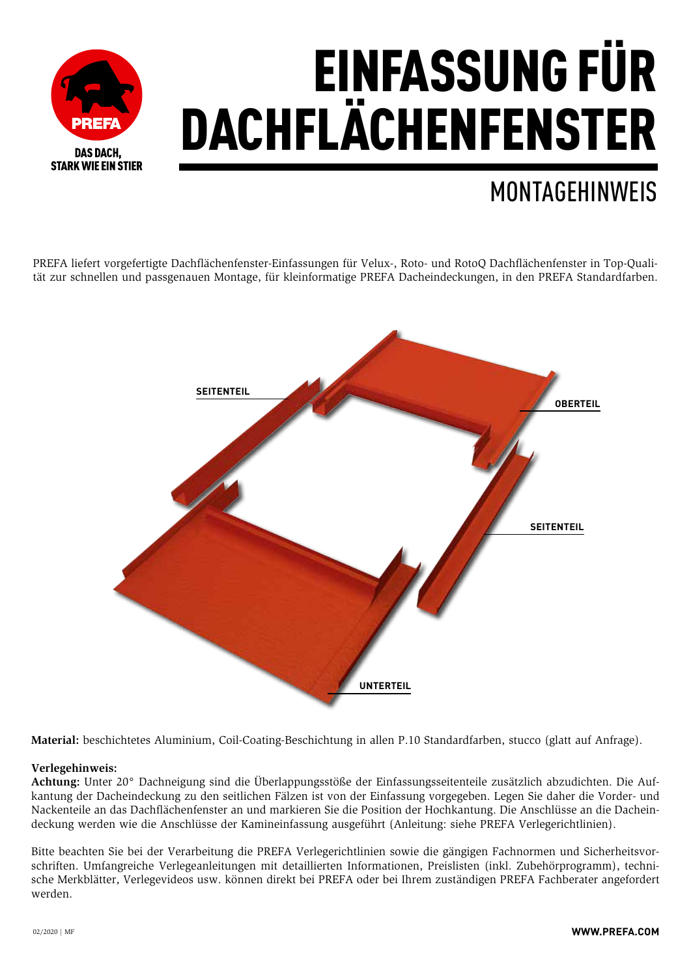

## MONTAGEHINWEIS

PREFA liefert vorgefertigte Dachflächenfenster-Einfassungen für Velux-, Roto- und RotoQ Dachflächenfenster in Top-Qualität zur schnellen und passgenauen Montage, für kleinformatige PREFA Dacheindeckungen, in den PREFA Standardfarben.



**Material:** beschichtetes Aluminium, Coil-Coating-Beschichtung in allen P.10 Standardfarben, stucco (glatt auf Anfrage).

## **Verlegehinweis:**

**Achtung:** Unter 20° Dachneigung sind die Überlappungsstöße der Einfassungsseitenteile zusätzlich abzudichten. Die Aufkantung der Dacheindeckung zu den seitlichen Fälzen ist von der Einfassung vorgegeben. Legen Sie daher die Vorder- und Nackenteile an das Dachflächenfenster an und markieren Sie die Position der Hochkantung. Die Anschlüsse an die Dacheindeckung werden wie die Anschlüsse der Kamineinfassung ausgeführt (Anleitung: siehe PREFA Verlegerichtlinien).

Bitte beachten Sie bei der Verarbeitung die PREFA Verlegerichtlinien sowie die gängigen Fachnormen und Sicherheitsvorschriften. Umfangreiche Verlegeanleitungen mit detaillierten Informationen, Preislisten (inkl. Zubehörprogramm), technische Merkblätter, Verlegevideos usw. können direkt bei PREFA oder bei Ihrem zuständigen PREFA Fachberater angefordert werden.